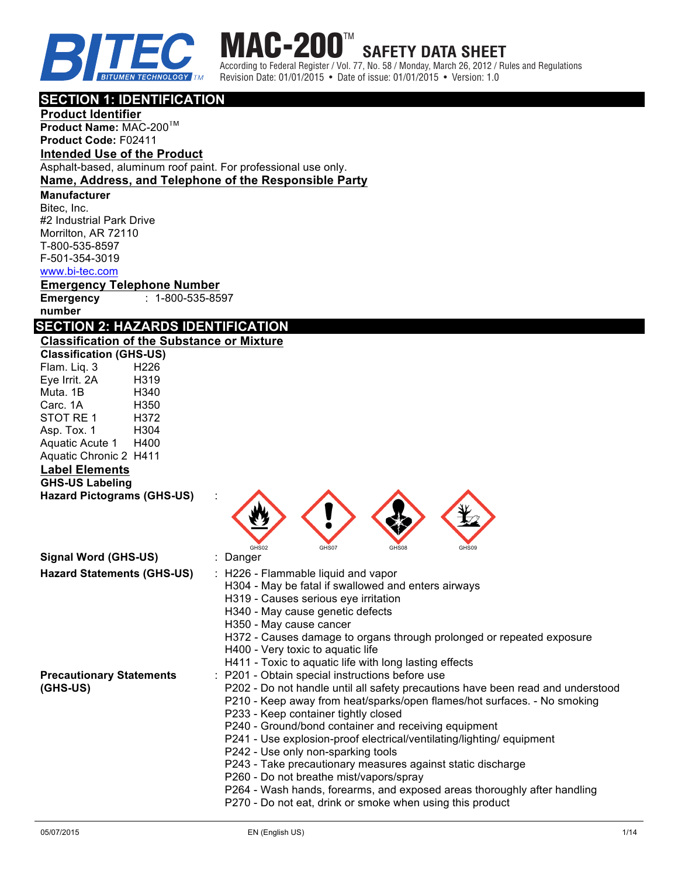



Revision Date: 01/01/2015 • Date of issue: 01/01/2015 • Version: 1.0

## **SECTION 1: IDENTIFICATION**

**Product Identifier Product Name: MAC-200<sup>1M</sup> Product Code:** F02411

## **Intended Use of the Product** Asphalt-based, aluminum roof paint. For professional use only.

### **Name, Address, and Telephone of the Responsible Party**

**Manufacturer** 

Bitec, Inc. #2 Industrial Park Drive Morrilton, AR 72110 T-800-535-8597 F-501-354-3019 www.bi-tec.com

### **Emergency Telephone Number**

**Emergency number** : 1-800-535-8597

## **SECTION 2: HAZARDS IDENTIFICATION**

**Classification of the Substance or Mixture Classification (GHS-US)** Flam. Liq. 3 H226 Eye Irrit. 2A H319 Muta 1B **H340** Carc. 1A H350 STOT RE 1 H372 Asp. Tox. 1 H304 Aquatic Acute 1 H400 Aquatic Chronic 2 H411 **Label Elements GHS-US Labeling Hazard Pictograms (GHS-US)** : GHS02 GHS07 GHS08 GHS09 **Signal Word (GHS-US)** : Danger **Hazard Statements (GHS-US)** : H226 - Flammable liquid and vapor H304 - May be fatal if swallowed and enters airways H319 - Causes serious eye irritation H340 - May cause genetic defects H350 - May cause cancer H372 - Causes damage to organs through prolonged or repeated exposure H400 - Very toxic to aquatic life H411 - Toxic to aquatic life with long lasting effects **Precautionary Statements (GHS-US)** : P201 - Obtain special instructions before use P202 - Do not handle until all safety precautions have been read and understood P210 - Keep away from heat/sparks/open flames/hot surfaces. - No smoking P233 - Keep container tightly closed P240 - Ground/bond container and receiving equipment P241 - Use explosion-proof electrical/ventilating/lighting/ equipment P242 - Use only non-sparking tools P243 - Take precautionary measures against static discharge P260 - Do not breathe mist/vapors/spray P264 - Wash hands, forearms, and exposed areas thoroughly after handling P270 - Do not eat, drink or smoke when using this product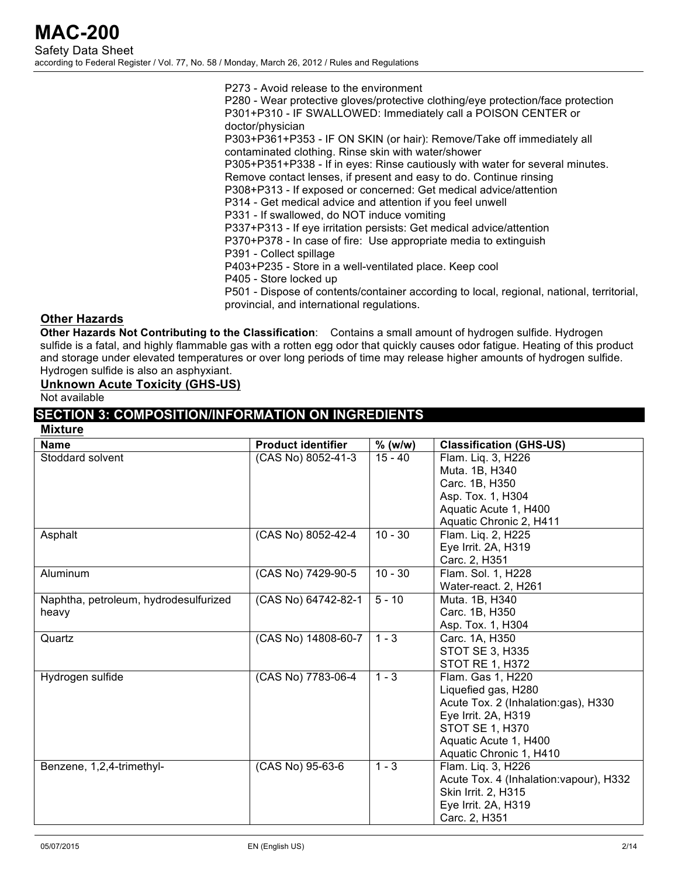P273 - Avoid release to the environment P280 - Wear protective gloves/protective clothing/eye protection/face protection P301+P310 - IF SWALLOWED: Immediately call a POISON CENTER or doctor/physician P303+P361+P353 - IF ON SKIN (or hair): Remove/Take off immediately all contaminated clothing. Rinse skin with water/shower P305+P351+P338 - If in eyes: Rinse cautiously with water for several minutes. Remove contact lenses, if present and easy to do. Continue rinsing P308+P313 - If exposed or concerned: Get medical advice/attention P314 - Get medical advice and attention if you feel unwell P331 - If swallowed, do NOT induce vomiting P337+P313 - If eye irritation persists: Get medical advice/attention P370+P378 - In case of fire: Use appropriate media to extinguish P391 - Collect spillage P403+P235 - Store in a well-ventilated place. Keep cool P405 - Store locked up P501 - Dispose of contents/container according to local, regional, national, territorial, provincial, and international regulations.

### **Other Hazards**

**Other Hazards Not Contributing to the Classification**: Contains a small amount of hydrogen sulfide. Hydrogen sulfide is a fatal, and highly flammable gas with a rotten egg odor that quickly causes odor fatigue. Heating of this product and storage under elevated temperatures or over long periods of time may release higher amounts of hydrogen sulfide. Hydrogen sulfide is also an asphyxiant.

### **Unknown Acute Toxicity (GHS-US)**

Not available

## **SECTION 3: COMPOSITION/INFORMATION ON INGREDIENTS**

| <b>Mixture</b>                        |                           |           |                                         |
|---------------------------------------|---------------------------|-----------|-----------------------------------------|
| <b>Name</b>                           | <b>Product identifier</b> | $%$ (w/w) | <b>Classification (GHS-US)</b>          |
| Stoddard solvent                      | (CAS No) 8052-41-3        | $15 - 40$ | Flam. Lig. 3, H226                      |
|                                       |                           |           | Muta. 1B, H340                          |
|                                       |                           |           | Carc. 1B, H350                          |
|                                       |                           |           | Asp. Tox. 1, H304                       |
|                                       |                           |           | Aquatic Acute 1, H400                   |
|                                       |                           |           | Aquatic Chronic 2, H411                 |
| Asphalt                               | (CAS No) 8052-42-4        | $10 - 30$ | Flam. Liq. 2, H225                      |
|                                       |                           |           | Eye Irrit. 2A, H319                     |
|                                       |                           |           | Carc. 2, H351                           |
| Aluminum                              | (CAS No) 7429-90-5        | $10 - 30$ | Flam. Sol. 1, H228                      |
|                                       |                           |           | Water-react. 2, H261                    |
| Naphtha, petroleum, hydrodesulfurized | (CAS No) 64742-82-1       | $5 - 10$  | Muta. 1B, H340                          |
| heavy                                 |                           |           | Carc. 1B, H350                          |
|                                       |                           |           | Asp. Tox. 1, H304                       |
| Quartz                                | (CAS No) 14808-60-7       | $1 - 3$   | Carc. 1A, H350                          |
|                                       |                           |           | <b>STOT SE 3, H335</b>                  |
|                                       |                           |           | <b>STOT RE 1, H372</b>                  |
| Hydrogen sulfide                      | (CAS No) 7783-06-4        | $1 - 3$   | Flam. Gas 1, H220                       |
|                                       |                           |           | Liquefied gas, H280                     |
|                                       |                           |           | Acute Tox. 2 (Inhalation:gas), H330     |
|                                       |                           |           | Eye Irrit. 2A, H319                     |
|                                       |                           |           | <b>STOT SE 1, H370</b>                  |
|                                       |                           |           | Aquatic Acute 1, H400                   |
|                                       |                           |           | Aquatic Chronic 1, H410                 |
| Benzene, 1,2,4-trimethyl-             | (CAS No) 95-63-6          | $1 - 3$   | Flam. Liq. 3, H226                      |
|                                       |                           |           | Acute Tox. 4 (Inhalation: vapour), H332 |
|                                       |                           |           | Skin Irrit. 2, H315                     |
|                                       |                           |           | Eye Irrit. 2A, H319                     |
|                                       |                           |           | Carc. 2, H351                           |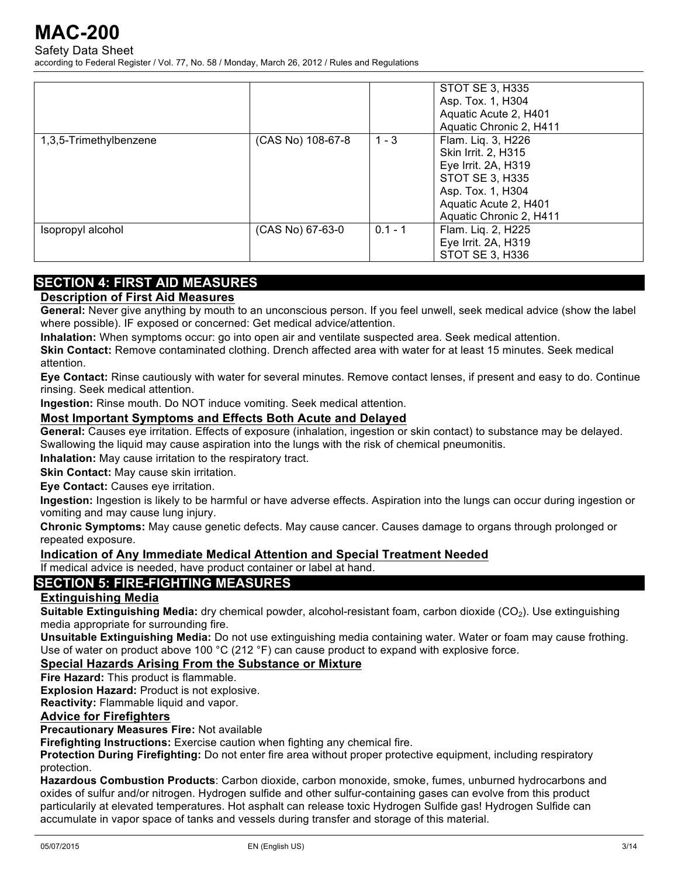Safety Data Sheet

according to Federal Register / Vol. 77, No. 58 / Monday, March 26, 2012 / Rules and Regulations

|                        |                   |           | STOT SE 3, H335         |
|------------------------|-------------------|-----------|-------------------------|
|                        |                   |           | Asp. Tox. 1, H304       |
|                        |                   |           | Aquatic Acute 2, H401   |
|                        |                   |           | Aquatic Chronic 2, H411 |
| 1,3,5-Trimethylbenzene | (CAS No) 108-67-8 | $1 - 3$   | Flam. Liq. 3, H226      |
|                        |                   |           | Skin Irrit. 2, H315     |
|                        |                   |           | Eye Irrit. 2A, H319     |
|                        |                   |           | <b>STOT SE 3, H335</b>  |
|                        |                   |           | Asp. Tox. 1, H304       |
|                        |                   |           | Aquatic Acute 2, H401   |
|                        |                   |           | Aquatic Chronic 2, H411 |
| Isopropyl alcohol      | (CAS No) 67-63-0  | $0.1 - 1$ | Flam. Liq. 2, H225      |
|                        |                   |           | Eye Irrit. 2A, H319     |
|                        |                   |           | STOT SE 3, H336         |

## **SECTION 4: FIRST AID MEASURES**

### **Description of First Aid Measures**

**General:** Never give anything by mouth to an unconscious person. If you feel unwell, seek medical advice (show the label where possible). IF exposed or concerned: Get medical advice/attention.

**Inhalation:** When symptoms occur: go into open air and ventilate suspected area. Seek medical attention.

**Skin Contact:** Remove contaminated clothing. Drench affected area with water for at least 15 minutes. Seek medical attention.

**Eye Contact:** Rinse cautiously with water for several minutes. Remove contact lenses, if present and easy to do. Continue rinsing. Seek medical attention.

**Ingestion:** Rinse mouth. Do NOT induce vomiting. Seek medical attention.

#### **Most Important Symptoms and Effects Both Acute and Delayed**

**General:** Causes eye irritation. Effects of exposure (inhalation, ingestion or skin contact) to substance may be delayed. Swallowing the liquid may cause aspiration into the lungs with the risk of chemical pneumonitis.

**Inhalation:** May cause irritation to the respiratory tract.

**Skin Contact:** May cause skin irritation.

**Eye Contact:** Causes eye irritation.

**Ingestion:** Ingestion is likely to be harmful or have adverse effects. Aspiration into the lungs can occur during ingestion or vomiting and may cause lung injury.

**Chronic Symptoms:** May cause genetic defects. May cause cancer. Causes damage to organs through prolonged or repeated exposure.

### **Indication of Any Immediate Medical Attention and Special Treatment Needed**

If medical advice is needed, have product container or label at hand.

## **SECTION 5: FIRE-FIGHTING MEASURES**

## **Extinguishing Media**

**Suitable Extinguishing Media:** dry chemical powder, alcohol-resistant foam, carbon dioxide (CO<sub>2</sub>). Use extinguishing media appropriate for surrounding fire.

**Unsuitable Extinguishing Media:** Do not use extinguishing media containing water. Water or foam may cause frothing. Use of water on product above 100  $^{\circ}$ C (212  $^{\circ}$ F) can cause product to expand with explosive force.

### **Special Hazards Arising From the Substance or Mixture**

**Fire Hazard:** This product is flammable.

**Explosion Hazard:** Product is not explosive.

**Reactivity:** Flammable liquid and vapor.

#### **Advice for Firefighters**

**Precautionary Measures Fire:** Not available

**Firefighting Instructions:** Exercise caution when fighting any chemical fire.

**Protection During Firefighting:** Do not enter fire area without proper protective equipment, including respiratory protection.

**Hazardous Combustion Products**: Carbon dioxide, carbon monoxide, smoke, fumes, unburned hydrocarbons and oxides of sulfur and/or nitrogen. Hydrogen sulfide and other sulfur-containing gases can evolve from this product particularily at elevated temperatures. Hot asphalt can release toxic Hydrogen Sulfide gas! Hydrogen Sulfide can accumulate in vapor space of tanks and vessels during transfer and storage of this material.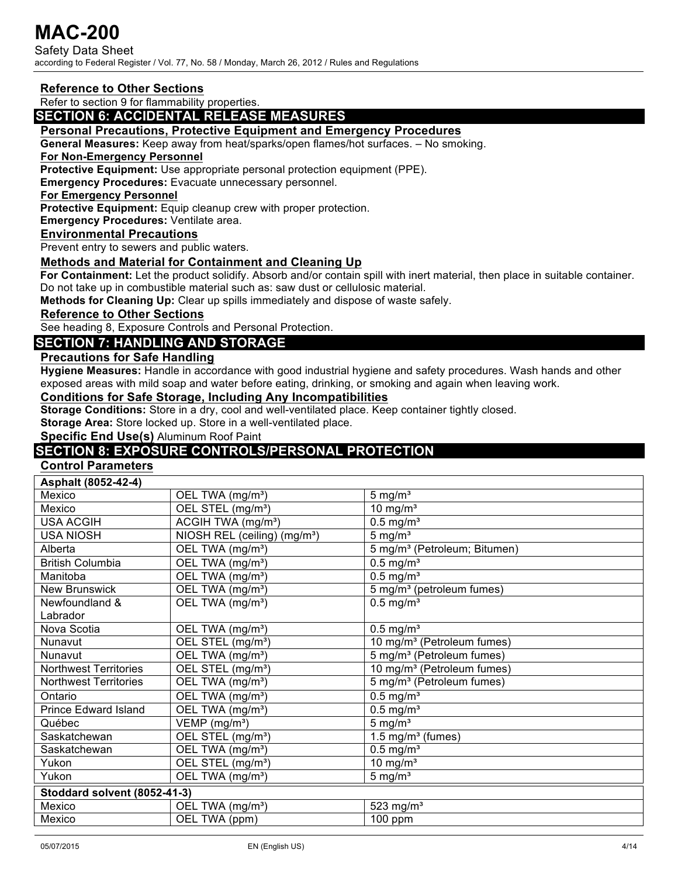Safety Data Sheet according to Federal Register / Vol. 77, No. 58 / Monday, March 26, 2012 / Rules and Regulations

#### **Reference to Other Sections**

Refer to section 9 for flammability properties.

### **SECTION 6: ACCIDENTAL RELEASE MEASURES**

#### **Personal Precautions, Protective Equipment and Emergency Procedures**

**General Measures:** Keep away from heat/sparks/open flames/hot surfaces. – No smoking.

#### **For Non-Emergency Personnel**

**Protective Equipment:** Use appropriate personal protection equipment (PPE).

**Emergency Procedures:** Evacuate unnecessary personnel.

#### **For Emergency Personnel**

**Protective Equipment:** Equip cleanup crew with proper protection.

**Emergency Procedures:** Ventilate area.

#### **Environmental Precautions**

Prevent entry to sewers and public waters.

#### **Methods and Material for Containment and Cleaning Up**

**For Containment:** Let the product solidify. Absorb and/or contain spill with inert material, then place in suitable container. Do not take up in combustible material such as: saw dust or cellulosic material.

**Methods for Cleaning Up:** Clear up spills immediately and dispose of waste safely.

**Reference to Other Sections**

See heading 8, Exposure Controls and Personal Protection.

#### **SECTION 7: HANDLING AND STORAGE**

#### **Precautions for Safe Handling**

**Hygiene Measures:** Handle in accordance with good industrial hygiene and safety procedures. Wash hands and other exposed areas with mild soap and water before eating, drinking, or smoking and again when leaving work.

#### **Conditions for Safe Storage, Including Any Incompatibilities**

**Storage Conditions:** Store in a dry, cool and well-ventilated place. Keep container tightly closed.

**Storage Area:** Store locked up. Store in a well-ventilated place.

**Specific End Use(s)** Aluminum Roof Paint

## **SECTION 8: EXPOSURE CONTROLS/PERSONAL PROTECTION**

## **Control Parameters**

| Asphalt (8052-42-4)          |                                           |                                          |
|------------------------------|-------------------------------------------|------------------------------------------|
| Mexico                       | OEL TWA (mg/m <sup>3</sup> )              | $5 \text{ mg/m}^3$                       |
| Mexico                       | OEL STEL (mg/m <sup>3</sup> )             | 10 mg/ $m3$                              |
| <b>USA ACGIH</b>             | ACGIH TWA (mg/m <sup>3</sup> )            | $0.5$ mg/m <sup>3</sup>                  |
| <b>USA NIOSH</b>             | NIOSH REL (ceiling) (mg/m <sup>3</sup> )  | 5 mg/ $m3$                               |
| Alberta                      | OEL TWA (mg/m <sup>3</sup> )              | 5 mg/m <sup>3</sup> (Petroleum; Bitumen) |
| <b>British Columbia</b>      | OEL TWA (mg/m <sup>3</sup> )              | $0.5$ mg/m <sup>3</sup>                  |
| Manitoba                     | OEL TWA (mg/m <sup>3</sup> )              | $0.5$ mg/m <sup>3</sup>                  |
| New Brunswick                | $\overline{OEL}$ TWA (mg/m <sup>3</sup> ) | 5 mg/m <sup>3</sup> (petroleum fumes)    |
| Newfoundland &               | OEL TWA (mg/m <sup>3</sup> )              | $0.5$ mg/m <sup>3</sup>                  |
| Labrador                     |                                           |                                          |
| Nova Scotia                  | OEL TWA (mg/m <sup>3</sup> )              | $0.5$ mg/m <sup>3</sup>                  |
| Nunavut                      | OEL STEL (mg/m <sup>3</sup> )             | 10 mg/m <sup>3</sup> (Petroleum fumes)   |
| Nunavut                      | OEL TWA (mg/m <sup>3</sup> )              | 5 mg/m <sup>3</sup> (Petroleum fumes)    |
| <b>Northwest Territories</b> | OEL STEL (mg/m <sup>3</sup> )             | 10 mg/m <sup>3</sup> (Petroleum fumes)   |
| <b>Northwest Territories</b> | OEL TWA (mg/m <sup>3</sup> )              | 5 mg/m <sup>3</sup> (Petroleum fumes)    |
| Ontario                      | OEL TWA (mg/m <sup>3</sup> )              | $0.5$ mg/m <sup>3</sup>                  |
| <b>Prince Edward Island</b>  | $\overline{OEL}$ TWA (mg/m <sup>3</sup> ) | $0.5$ mg/m <sup>3</sup>                  |
| Québec                       | VEMP (mg/m <sup>3</sup> )                 | 5 mg/ $m^3$                              |
| Saskatchewan                 | OEL STEL (mg/m <sup>3</sup> )             | 1.5 mg/ $m3$ (fumes)                     |
| Saskatchewan                 | $\overline{OEL}$ TWA (mg/m <sup>3</sup> ) | $0.5$ mg/m <sup>3</sup>                  |
| Yukon                        | OEL STEL (mg/m <sup>3</sup> )             | 10 mg/ $m3$                              |
| Yukon                        | OEL TWA (mg/m <sup>3</sup> )              | $5 \text{ mg/m}^3$                       |
| Stoddard solvent (8052-41-3) |                                           |                                          |
| Mexico                       | OEL TWA (mg/m <sup>3</sup> )              | 523 mg/ $m3$                             |
| Mexico                       | OEL TWA (ppm)                             | 100 ppm                                  |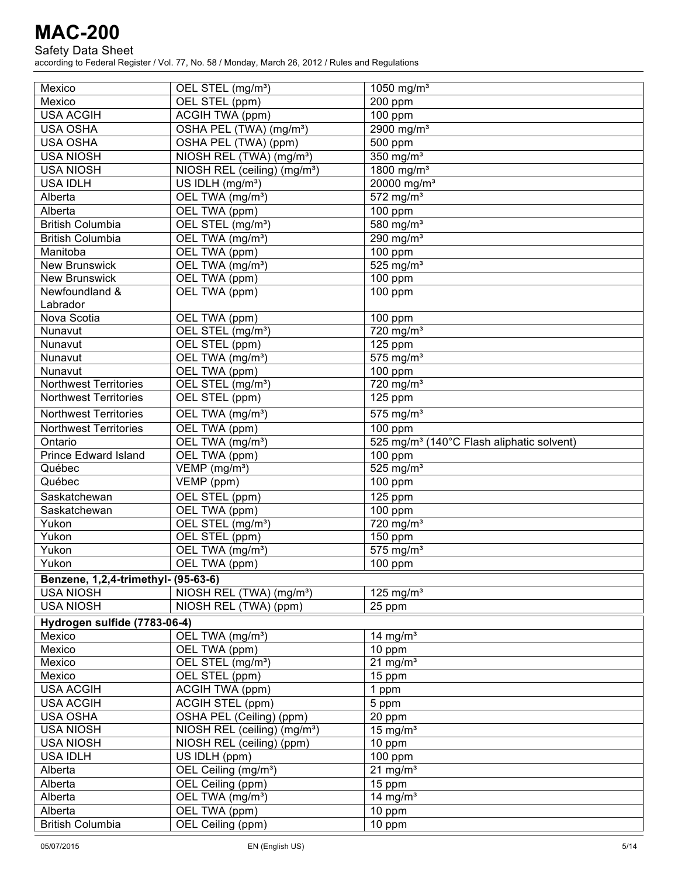#### Safety Data Sheet

| Mexico                              | OEL STEL (mg/m <sup>3</sup> )            | 1050 mg/m <sup>3</sup>                                |
|-------------------------------------|------------------------------------------|-------------------------------------------------------|
| Mexico                              | OEL STEL (ppm)                           | 200 ppm                                               |
| <b>USA ACGIH</b>                    | ACGIH TWA (ppm)                          | 100 ppm                                               |
| <b>USA OSHA</b>                     | OSHA PEL (TWA) (mg/m <sup>3</sup> )      | 2900 mg/m <sup>3</sup>                                |
| <b>USA OSHA</b>                     | OSHA PEL (TWA) (ppm)                     | 500 ppm                                               |
| <b>USA NIOSH</b>                    | NIOSH REL (TWA) (mg/m <sup>3</sup> )     | 350 mg/m <sup>3</sup>                                 |
| <b>USA NIOSH</b>                    | NIOSH REL (ceiling) (mg/m <sup>3</sup> ) | 1800 mg/m <sup>3</sup>                                |
| <b>USA IDLH</b>                     | US IDLH (mg/m <sup>3</sup> )             | 20000 mg/m <sup>3</sup>                               |
| Alberta                             | OEL TWA (mg/m <sup>3</sup> )             | $572$ mg/m <sup>3</sup>                               |
| Alberta                             | OEL TWA (ppm)                            | 100 ppm                                               |
| <b>British Columbia</b>             | OEL STEL (mg/m <sup>3</sup> )            | 580 mg/m <sup>3</sup>                                 |
| <b>British Columbia</b>             | OEL TWA (mg/m <sup>3</sup> )             | 290 mg/m <sup>3</sup>                                 |
| Manitoba                            | OEL TWA (ppm)                            | 100 ppm                                               |
| <b>New Brunswick</b>                | OEL TWA (mg/m <sup>3</sup> )             | 525 mg/ $m3$                                          |
| <b>New Brunswick</b>                | OEL TWA (ppm)                            | 100 ppm                                               |
| Newfoundland &                      | OEL TWA (ppm)                            | 100 ppm                                               |
| Labrador                            |                                          |                                                       |
| Nova Scotia                         | OEL TWA (ppm)                            | 100 ppm                                               |
| Nunavut                             | OEL STEL (mg/m <sup>3</sup> )            | 720 mg/m <sup>3</sup>                                 |
| Nunavut                             | OEL STEL (ppm)                           | 125 ppm                                               |
| Nunavut                             | OEL TWA (mg/m <sup>3</sup> )             | $575$ mg/m <sup>3</sup>                               |
| Nunavut                             | OEL TWA (ppm)                            | 100 ppm                                               |
| <b>Northwest Territories</b>        | OEL STEL (mg/m <sup>3</sup> )            | 720 mg/m <sup>3</sup>                                 |
| <b>Northwest Territories</b>        | OEL STEL (ppm)                           | 125 ppm                                               |
| <b>Northwest Territories</b>        | OEL TWA (mg/m <sup>3</sup> )             | $575$ mg/m <sup>3</sup>                               |
| <b>Northwest Territories</b>        | OEL TWA (ppm)                            | 100 ppm                                               |
| Ontario                             | OEL TWA (mg/m <sup>3</sup> )             | 525 mg/m <sup>3</sup> (140°C Flash aliphatic solvent) |
| <b>Prince Edward Island</b>         | OEL TWA (ppm)                            | 100 ppm                                               |
| Québec                              | VEMP (mg/m <sup>3</sup> )                | $525$ mg/m <sup>3</sup>                               |
| Québec                              | $VEMP$ (ppm)                             | $\overline{100}$ ppm                                  |
|                                     | OEL STEL (ppm)                           | $125$ ppm                                             |
| Saskatchewan<br>Saskatchewan        | OEL TWA (ppm)                            | 100 ppm                                               |
| Yukon                               | OEL STEL (mg/m <sup>3</sup> )            | 720 mg/m <sup>3</sup>                                 |
| Yukon                               | OEL STEL (ppm)                           | 150 ppm                                               |
| Yukon                               | OEL TWA (mg/m <sup>3</sup> )             | $575$ mg/m <sup>3</sup>                               |
| Yukon                               | OEL TWA (ppm)                            | 100 ppm                                               |
|                                     |                                          |                                                       |
| Benzene, 1,2,4-trimethyl- (95-63-6) |                                          |                                                       |
| <b>USA NIOSH</b>                    | NIOSH REL (TWA) (mg/m <sup>3</sup> )     | 125 mg/ $m3$                                          |
| <b>USA NIOSH</b>                    | NIOSH REL (TWA) (ppm)                    | 25 ppm                                                |
| Hydrogen sulfide (7783-06-4)        |                                          |                                                       |
| Mexico                              | OEL TWA (mg/m <sup>3</sup> )             | 14 mg/ $m3$                                           |
| Mexico                              | OEL TWA (ppm)                            | 10 ppm                                                |
| Mexico                              | OEL STEL (mg/m <sup>3</sup> )            | $21$ mg/m <sup>3</sup>                                |
| Mexico                              | OEL STEL (ppm)                           | 15 ppm                                                |
| <b>USA ACGIH</b>                    | ACGIH TWA (ppm)                          | 1 ppm                                                 |
| <b>USA ACGIH</b>                    | ACGIH STEL (ppm)                         | 5 ppm                                                 |
| <b>USA OSHA</b>                     | OSHA PEL (Ceiling) (ppm)                 | 20 ppm                                                |
| <b>USA NIOSH</b>                    | NIOSH REL (ceiling) (mg/m <sup>3</sup> ) | 15 mg/ $m3$                                           |
| <b>USA NIOSH</b>                    | NIOSH REL (ceiling) (ppm)                | 10 ppm                                                |
| <b>USA IDLH</b>                     | US IDLH (ppm)                            | 100 ppm                                               |
| Alberta                             | OEL Ceiling (mg/m <sup>3</sup> )         | $21$ mg/m <sup>3</sup>                                |
| Alberta                             | OEL Ceiling (ppm)                        | 15 ppm                                                |
| Alberta                             | OEL TWA (mg/m <sup>3</sup> )             | 14 mg/ $m3$                                           |
| Alberta                             | OEL TWA (ppm)                            | 10 ppm                                                |
| <b>British Columbia</b>             | OEL Ceiling (ppm)                        | 10 ppm                                                |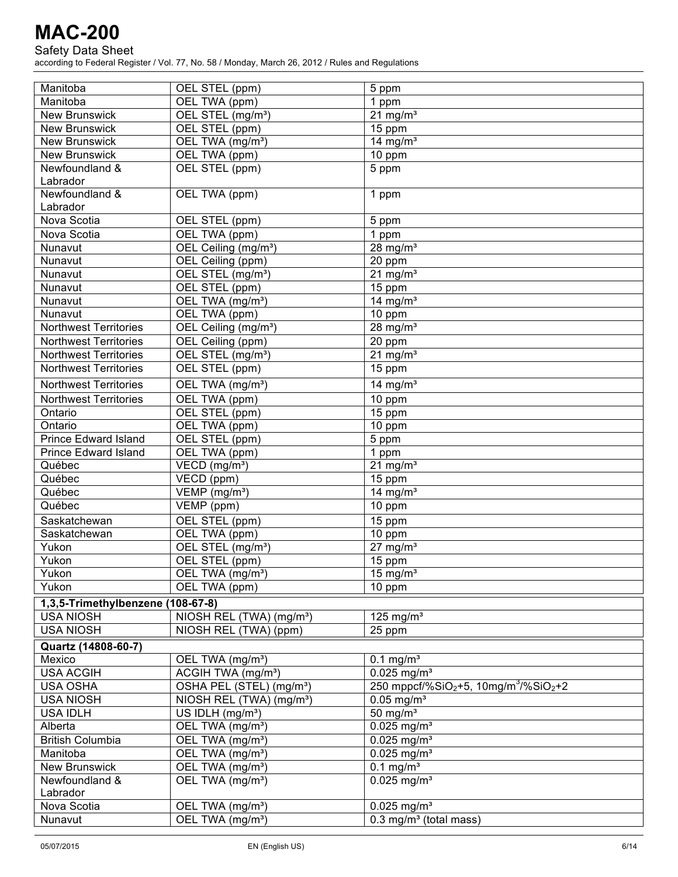#### Safety Data Sheet

| Manitoba                          | OEL STEL (ppm)                                | 5 ppm                                                                     |
|-----------------------------------|-----------------------------------------------|---------------------------------------------------------------------------|
| Manitoba                          | OEL TWA (ppm)                                 | 1 ppm                                                                     |
| <b>New Brunswick</b>              | OEL STEL (mg/m <sup>3</sup> )                 | $21 \text{ mg/m}^3$                                                       |
| <b>New Brunswick</b>              | OEL STEL (ppm)                                | 15 ppm                                                                    |
| <b>New Brunswick</b>              | OEL TWA (mg/m <sup>3</sup> )                  | 14 mg/ $m3$                                                               |
| <b>New Brunswick</b>              | OEL TWA (ppm)                                 | 10 ppm                                                                    |
| Newfoundland &                    | OEL STEL (ppm)                                | 5 ppm                                                                     |
| Labrador                          |                                               |                                                                           |
| Newfoundland &                    | OEL TWA (ppm)                                 | 1 ppm                                                                     |
| Labrador                          |                                               |                                                                           |
| Nova Scotia                       | OEL STEL (ppm)                                | 5 ppm                                                                     |
| Nova Scotia                       | OEL TWA (ppm)                                 | 1 ppm                                                                     |
| Nunavut                           | OEL Ceiling (mg/m <sup>3</sup> )              | 28 mg/ $m3$                                                               |
| Nunavut                           | OEL Ceiling (ppm)                             | 20 ppm                                                                    |
| Nunavut                           |                                               | 21 mg/ $m3$                                                               |
|                                   | OEL STEL (mg/m <sup>3</sup> )                 |                                                                           |
| Nunavut                           | OEL STEL (ppm)                                | 15 ppm                                                                    |
| Nunavut                           | OEL TWA (mg/m <sup>3</sup> )                  | 14 mg/ $m3$                                                               |
| Nunavut                           | OEL TWA (ppm)                                 | 10 ppm                                                                    |
| <b>Northwest Territories</b>      | OEL Ceiling (mg/m <sup>3</sup> )              | 28 mg/ $m3$                                                               |
| <b>Northwest Territories</b>      | <b>OEL Ceiling (ppm)</b>                      | 20 ppm                                                                    |
| <b>Northwest Territories</b>      | OEL STEL (mg/m <sup>3</sup> )                 | $21$ mg/m <sup>3</sup>                                                    |
| <b>Northwest Territories</b>      | OEL STEL (ppm)                                | 15 ppm                                                                    |
| <b>Northwest Territories</b>      | OEL TWA (mg/m <sup>3</sup> )                  | 14 mg/ $m3$                                                               |
| <b>Northwest Territories</b>      | OEL TWA (ppm)                                 | 10 ppm                                                                    |
| Ontario                           | OEL STEL (ppm)                                | 15 ppm                                                                    |
| Ontario                           | OEL TWA (ppm)                                 | 10 ppm                                                                    |
| <b>Prince Edward Island</b>       | OEL STEL (ppm)                                | 5 ppm                                                                     |
| <b>Prince Edward Island</b>       | OEL TWA (ppm)                                 | 1 ppm                                                                     |
| Québec                            | VECD (mg/m <sup>3</sup> )                     | 21 mg/ $m3$                                                               |
| Québec                            | $\overline{\text{VECD}}$ (ppm)                | 15 ppm                                                                    |
| Québec                            | $\overline{\text{VEMP}}$ (mg/m <sup>3</sup> ) | 14 mg/ $m3$                                                               |
| Québec                            | $\overline{\mathsf{VEMP}}$ (ppm)              | 10 ppm                                                                    |
| Saskatchewan                      | OEL STEL (ppm)                                | 15 ppm                                                                    |
| Saskatchewan                      | OEL TWA (ppm)                                 | 10 ppm                                                                    |
| Yukon                             | OEL STEL (mg/m <sup>3</sup> )                 | $27 \text{ mg/m}^3$                                                       |
| Yukon                             | OEL STEL (ppm)                                | 15 ppm                                                                    |
| Yukon                             | OEL TWA (mg/m <sup>3</sup> )                  | $15 \text{ mg/m}^3$                                                       |
| Yukon                             | OEL TWA (ppm)                                 | 10 ppm                                                                    |
|                                   |                                               |                                                                           |
| 1,3,5-Trimethylbenzene (108-67-8) |                                               |                                                                           |
| <b>USA NIOSH</b>                  | NIOSH REL (TWA) (mg/m <sup>3</sup> )          | 125 mg/ $m3$                                                              |
| <b>USA NIOSH</b>                  | NIOSH REL (TWA) (ppm)                         | 25 ppm                                                                    |
| Quartz (14808-60-7)               |                                               |                                                                           |
| Mexico                            | OEL TWA (mg/m <sup>3</sup> )                  | $0.1$ mg/m <sup>3</sup>                                                   |
| <b>USA ACGIH</b>                  | ACGIH TWA (mg/m <sup>3</sup> )                | $0.025$ mg/m <sup>3</sup>                                                 |
| <b>USA OSHA</b>                   | OSHA PEL (STEL) (mg/m <sup>3</sup> )          | 250 mppcf/%SiO <sub>2</sub> +5, 10mg/m <sup>3</sup> /%SiO <sub>2</sub> +2 |
| <b>USA NIOSH</b>                  | NIOSH REL (TWA) (mg/m <sup>3</sup> )          | $0.05 \text{ mg/m}^3$                                                     |
| <b>USA IDLH</b>                   | US IDLH (mg/m <sup>3</sup> )                  | $\overline{50}$ mg/m <sup>3</sup>                                         |
| Alberta                           | OEL TWA (mg/m <sup>3</sup> )                  | $0.025$ mg/m <sup>3</sup>                                                 |
| <b>British Columbia</b>           | OEL TWA (mg/m <sup>3</sup> )                  | $0.025$ mg/m <sup>3</sup>                                                 |
| Manitoba                          | OEL TWA (mg/m <sup>3</sup> )                  | $0.025$ mg/m <sup>3</sup>                                                 |
| <b>New Brunswick</b>              | OEL TWA (mg/m <sup>3</sup> )                  | $0.1$ mg/m <sup>3</sup>                                                   |
| Newfoundland &                    | OEL TWA (mg/m <sup>3</sup> )                  | $0.025$ mg/m <sup>3</sup>                                                 |
| Labrador                          |                                               |                                                                           |
| Nova Scotia                       | OEL TWA (mg/m <sup>3</sup> )                  | $0.025$ mg/m <sup>3</sup>                                                 |
| Nunavut                           | OEL TWA (mg/m <sup>3</sup> )                  | $0.3$ mg/m <sup>3</sup> (total mass)                                      |
|                                   |                                               |                                                                           |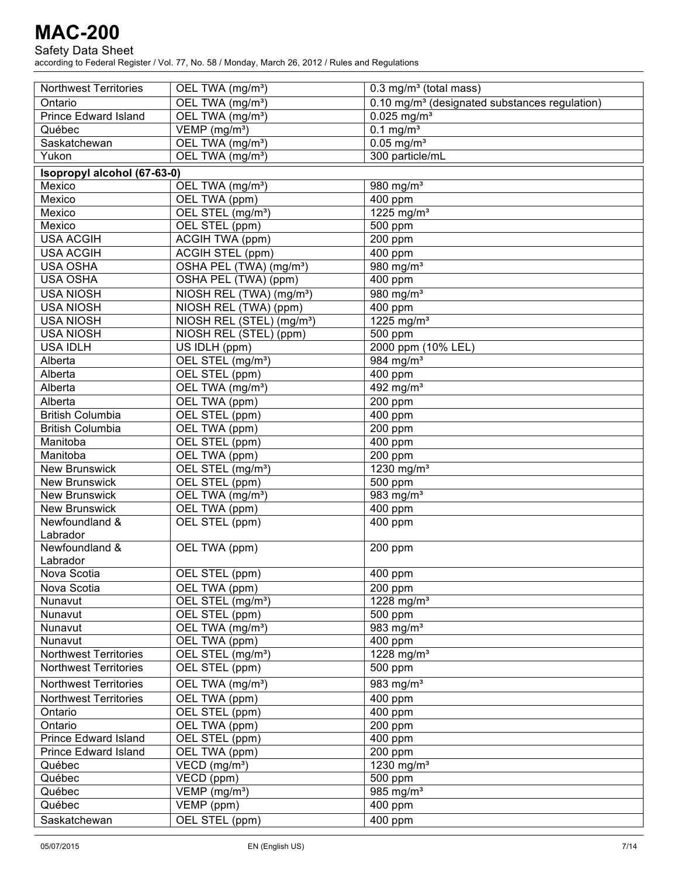#### Safety Data Sheet

| <b>Northwest Territories</b> | OEL TWA (mg/m <sup>3</sup> )          | $0.3$ mg/m <sup>3</sup> (total mass)                      |
|------------------------------|---------------------------------------|-----------------------------------------------------------|
| Ontario                      | OEL TWA (mg/m <sup>3</sup> )          | 0.10 mg/m <sup>3</sup> (designated substances regulation) |
| <b>Prince Edward Island</b>  | OEL TWA (mg/m <sup>3</sup> )          | $0.025$ mg/m <sup>3</sup>                                 |
| Québec                       | VEMP (mg/m <sup>3</sup> )             | $0.1$ mg/m <sup>3</sup>                                   |
| Saskatchewan                 | OEL TWA (mg/m <sup>3</sup> )          | $0.05$ mg/m <sup>3</sup>                                  |
| Yukon                        | OEL TWA (mg/m <sup>3</sup> )          | 300 particle/mL                                           |
| Isopropyl alcohol (67-63-0)  |                                       |                                                           |
| Mexico                       | OEL TWA (mg/m <sup>3</sup> )          | 980 mg/m <sup>3</sup>                                     |
| Mexico                       | OEL TWA (ppm)                         | 400 ppm                                                   |
| Mexico                       | OEL STEL (mg/m <sup>3</sup> )         | 1225 mg/m <sup>3</sup>                                    |
| Mexico                       | OEL STEL (ppm)                        | 500 ppm                                                   |
| <b>USA ACGIH</b>             | ACGIH TWA (ppm)                       | 200 ppm                                                   |
| <b>USA ACGIH</b>             | ACGIH STEL (ppm)                      | 400 ppm                                                   |
| <b>USA OSHA</b>              | OSHA PEL (TWA) (mg/m <sup>3</sup> )   | 980 mg/m <sup>3</sup>                                     |
| <b>USA OSHA</b>              | OSHA PEL (TWA) (ppm)                  | 400 ppm                                                   |
| <b>USA NIOSH</b>             | NIOSH REL (TWA) (mg/m <sup>3</sup> )  | 980 mg/m <sup>3</sup>                                     |
| <b>USA NIOSH</b>             | NIOSH REL (TWA) (ppm)                 | 400 ppm                                                   |
| <b>USA NIOSH</b>             | NIOSH REL (STEL) (mg/m <sup>3</sup> ) | 1225 mg/m <sup>3</sup>                                    |
| <b>USA NIOSH</b>             | NIOSH REL (STEL) (ppm)                | 500 ppm                                                   |
| <b>USA IDLH</b>              | US IDLH (ppm)                         | 2000 ppm (10% LEL)                                        |
| Alberta                      | OEL STEL (mg/m <sup>3</sup> )         | 984 mg/m <sup>3</sup>                                     |
| Alberta                      | OEL STEL (ppm)                        | 400 ppm                                                   |
| Alberta                      | OEL TWA (mg/m <sup>3</sup> )          | $492$ mg/m <sup>3</sup>                                   |
| Alberta                      | OEL TWA (ppm)                         | 200 ppm                                                   |
| <b>British Columbia</b>      | OEL STEL (ppm)                        | 400 ppm                                                   |
| <b>British Columbia</b>      | OEL TWA (ppm)                         | 200 ppm                                                   |
| Manitoba                     | OEL STEL (ppm)                        | 400 ppm                                                   |
| Manitoba                     | OEL TWA (ppm)                         | 200 ppm                                                   |
| <b>New Brunswick</b>         | OEL STEL (mg/m <sup>3</sup> )         | 1230 mg/m <sup>3</sup>                                    |
| <b>New Brunswick</b>         | OEL STEL (ppm)                        | 500 ppm                                                   |
| <b>New Brunswick</b>         | OEL TWA (mg/m <sup>3</sup> )          | 983 $mg/m3$                                               |
| <b>New Brunswick</b>         | OEL TWA (ppm)                         | 400 ppm                                                   |
| Newfoundland &               | OEL STEL (ppm)                        | 400 ppm                                                   |
| Labrador                     |                                       |                                                           |
| Newfoundland &               | OEL TWA (ppm)                         | 200 ppm                                                   |
| Labrador                     |                                       |                                                           |
| Nova Scotia                  | OEL STEL (ppm)                        | 400 ppm                                                   |
| Nova Scotia                  | OEL TWA (ppm)                         | 200 ppm                                                   |
| Nunavut                      | OEL STEL (mg/m <sup>3</sup> )         | 1228 mg/m <sup>3</sup>                                    |
| Nunavut                      | OEL STEL (ppm)                        | $\overline{500}$ ppm                                      |
| Nunavut                      | OEL TWA (mg/m <sup>3</sup> )          | 983 $mg/m3$                                               |
| Nunavut                      | OEL TWA (ppm)                         | 400 ppm                                                   |
| <b>Northwest Territories</b> | OEL STEL (mg/m <sup>3</sup> )         | 1228 mg/m <sup>3</sup>                                    |
| <b>Northwest Territories</b> | OEL STEL (ppm)                        | 500 ppm                                                   |
| <b>Northwest Territories</b> | OEL TWA (mg/m <sup>3</sup> )          | $\overline{98}3$ mg/m <sup>3</sup>                        |
| <b>Northwest Territories</b> | OEL TWA (ppm)                         | $\overline{400}$ ppm                                      |
| Ontario                      | OEL STEL (ppm)                        | 400 ppm                                                   |
| Ontario                      | OEL TWA (ppm)                         | 200 ppm                                                   |
| <b>Prince Edward Island</b>  | OEL STEL (ppm)                        | 400 ppm                                                   |
| <b>Prince Edward Island</b>  | OEL TWA (ppm)                         | 200 ppm                                                   |
| Québec                       | VECD (mg/m <sup>3</sup> )             | 1230 mg/m <sup>3</sup>                                    |
| Québec                       | VECD (ppm)                            | 500 ppm                                                   |
| Québec                       | VEMP (mg/m <sup>3</sup> )             | 985 mg/m <sup>3</sup>                                     |
| Québec                       | $\overline{\mathsf{VEMP}}$ (ppm)      | 400 ppm                                                   |
| Saskatchewan                 | OEL STEL (ppm)                        | 400 ppm                                                   |
|                              |                                       |                                                           |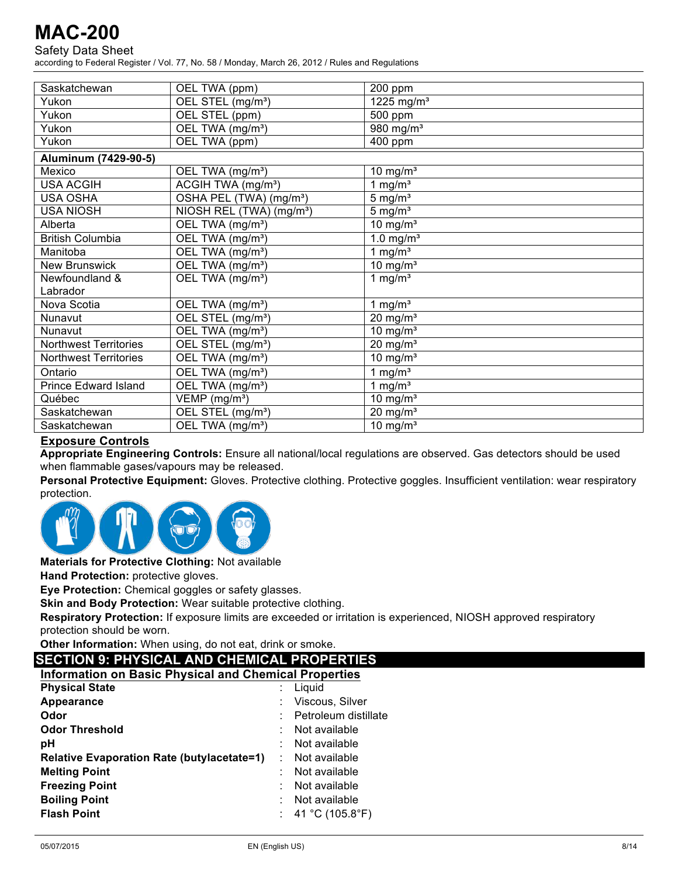Safety Data Sheet

according to Federal Register / Vol. 77, No. 58 / Monday, March 26, 2012 / Rules and Regulations

| Saskatchewan                 | OEL TWA (ppm)                        | 200 ppm                |
|------------------------------|--------------------------------------|------------------------|
| Yukon                        | OEL STEL (mg/m <sup>3</sup> )        | 1225 mg/m <sup>3</sup> |
| Yukon                        | OEL STEL (ppm)                       | 500 ppm                |
| Yukon                        | OEL TWA (mg/m <sup>3</sup> )         | 980 mg/m <sup>3</sup>  |
| Yukon                        | OEL TWA (ppm)                        | 400 ppm                |
| Aluminum (7429-90-5)         |                                      |                        |
| Mexico                       | OEL TWA (mg/m <sup>3</sup> )         | 10 mg/ $m3$            |
| <b>USA ACGIH</b>             | ACGIH TWA (mg/m <sup>3</sup> )       | 1 mg/ $m3$             |
| <b>USA OSHA</b>              | OSHA PEL (TWA) (mg/m <sup>3</sup> )  | $5 \text{ mg/m}^3$     |
| <b>USA NIOSH</b>             | NIOSH REL (TWA) (mg/m <sup>3</sup> ) | $5 \text{ mg/m}^3$     |
| Alberta                      | OEL TWA (mg/m <sup>3</sup> )         | 10 mg/ $m3$            |
| <b>British Columbia</b>      | OEL TWA (mg/m <sup>3</sup> )         | 1.0 mg/ $m3$           |
| Manitoba                     | OEL TWA (mg/m <sup>3</sup> )         | 1 mg/ $m3$             |
| <b>New Brunswick</b>         | OEL TWA (mg/m <sup>3</sup> )         | 10 mg/ $m3$            |
| Newfoundland &               | OEL TWA (mg/m <sup>3</sup> )         | 1 mg/ $m3$             |
| Labrador                     |                                      |                        |
| Nova Scotia                  | OEL TWA (mg/m <sup>3</sup> )         | 1 mg/ $m3$             |
| Nunavut                      | OEL STEL (mg/m <sup>3</sup> )        | $20$ mg/m <sup>3</sup> |
| Nunavut                      | OEL TWA (mg/m <sup>3</sup> )         | 10 mg/ $m3$            |
| <b>Northwest Territories</b> | OEL STEL (mg/m <sup>3</sup> )        | $20$ mg/m <sup>3</sup> |
| <b>Northwest Territories</b> | OEL TWA (mg/m <sup>3</sup> )         | 10 mg/ $m3$            |
| Ontario                      | OEL TWA (mg/m <sup>3</sup> )         | 1 mg/ $m3$             |
| <b>Prince Edward Island</b>  | OEL TWA (mg/m <sup>3</sup> )         | 1 mg/ $m3$             |
| Québec                       | $VEMP$ (mg/m <sup>3</sup> )          | 10 mg/ $m3$            |
| Saskatchewan                 | OEL STEL (mg/m <sup>3</sup> )        | $20 \text{ mg/m}^3$    |
| Saskatchewan                 | OEL TWA (mg/m <sup>3</sup> )         | 10 mg/ $m3$            |
|                              |                                      |                        |

### **Exposure Controls**

**Appropriate Engineering Controls:** Ensure all national/local regulations are observed. Gas detectors should be used when flammable gases/vapours may be released.

**Personal Protective Equipment:** Gloves. Protective clothing. Protective goggles. Insufficient ventilation: wear respiratory protection.



**Materials for Protective Clothing:** Not available

**Hand Protection:** protective gloves.

**Eye Protection:** Chemical goggles or safety glasses.

**Skin and Body Protection:** Wear suitable protective clothing.

**Respiratory Protection:** If exposure limits are exceeded or irritation is experienced, NIOSH approved respiratory protection should be worn.

**Other Information:** When using, do not eat, drink or smoke.

### **SECTION 9: PHYSICAL AND CHEMICAL PROPERTIES**

| <b>Information on Basic Physical and Chemical Properties</b> |                      |
|--------------------------------------------------------------|----------------------|
| <b>Physical State</b>                                        | Liquid               |
| Appearance                                                   | Viscous, Silver      |
| Odor                                                         | Petroleum distillate |
| <b>Odor Threshold</b>                                        | Not available        |
| рH                                                           | Not available        |
| <b>Relative Evaporation Rate (butylacetate=1)</b>            | Not available        |
| <b>Melting Point</b>                                         | Not available        |
| <b>Freezing Point</b>                                        | Not available        |
| <b>Boiling Point</b>                                         | Not available        |
| <b>Flash Point</b>                                           | 41 °C (105.8°F)      |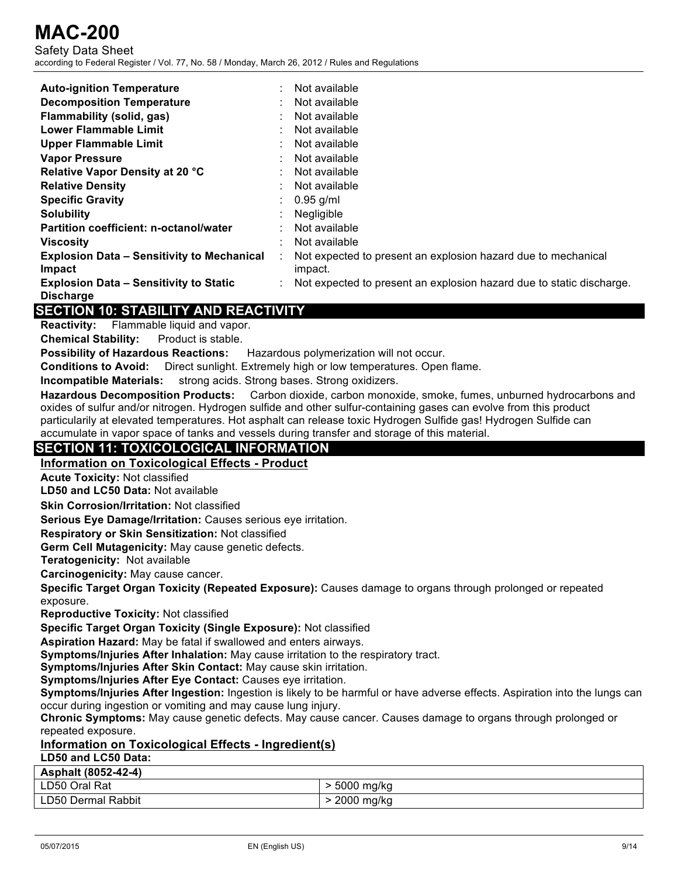Safety Data Sheet according to Federal Register / Vol. 77, No. 58 / Monday, March 26, 2012 / Rules and Regulations

| <b>Auto-ignition Temperature</b>                  | Not available                                                        |
|---------------------------------------------------|----------------------------------------------------------------------|
| <b>Decomposition Temperature</b>                  | Not available                                                        |
| Flammability (solid, gas)                         | Not available                                                        |
| <b>Lower Flammable Limit</b>                      | Not available                                                        |
| <b>Upper Flammable Limit</b>                      | Not available                                                        |
| <b>Vapor Pressure</b>                             | Not available                                                        |
| Relative Vapor Density at 20 °C                   | Not available                                                        |
| <b>Relative Density</b>                           | Not available                                                        |
| <b>Specific Gravity</b>                           | $0.95$ g/ml                                                          |
| <b>Solubility</b>                                 | <b>Negligible</b>                                                    |
| <b>Partition coefficient: n-octanol/water</b>     | Not available                                                        |
| <b>Viscosity</b>                                  | Not available                                                        |
| <b>Explosion Data - Sensitivity to Mechanical</b> | Not expected to present an explosion hazard due to mechanical        |
| <b>Impact</b>                                     | impact.                                                              |
| <b>Explosion Data - Sensitivity to Static</b>     | Not expected to present an explosion hazard due to static discharge. |
| <b>Discharge</b>                                  |                                                                      |
| <b>CECTION 40: CTADILITY AND DEACTIVITY</b>       |                                                                      |

## **SECTION 10: STABILITY AND REACTIVITY**

**Reactivity:** Flammable liquid and vapor.

**Chemical Stability:** Product is stable.

**Possibility of Hazardous Reactions:** Hazardous polymerization will not occur.

**Conditions to Avoid:** Direct sunlight. Extremely high or low temperatures. Open flame.

**Incompatible Materials:** strong acids. Strong bases. Strong oxidizers.

**Hazardous Decomposition Products:** Carbon dioxide, carbon monoxide, smoke, fumes, unburned hydrocarbons and oxides of sulfur and/or nitrogen. Hydrogen sulfide and other sulfur-containing gases can evolve from this product particularily at elevated temperatures. Hot asphalt can release toxic Hydrogen Sulfide gas! Hydrogen Sulfide can accumulate in vapor space of tanks and vessels during transfer and storage of this material.

## **SECTION 11: TOXICOLOGICAL INFORMATION**

## **Information on Toxicological Effects - Product**

**Acute Toxicity:** Not classified

**LD50 and LC50 Data:** Not available

**Skin Corrosion/Irritation:** Not classified

**Serious Eye Damage/Irritation:** Causes serious eye irritation.

**Respiratory or Skin Sensitization:** Not classified

**Germ Cell Mutagenicity:** May cause genetic defects.

**Teratogenicity:** Not available

**Carcinogenicity:** May cause cancer.

**Specific Target Organ Toxicity (Repeated Exposure):** Causes damage to organs through prolonged or repeated exposure.

**Reproductive Toxicity:** Not classified

**Specific Target Organ Toxicity (Single Exposure):** Not classified

**Aspiration Hazard:** May be fatal if swallowed and enters airways.

**Symptoms/Injuries After Inhalation:** May cause irritation to the respiratory tract.

**Symptoms/Injuries After Skin Contact:** May cause skin irritation.

**Symptoms/Injuries After Eye Contact:** Causes eye irritation.

**Symptoms/Injuries After Ingestion:** Ingestion is likely to be harmful or have adverse effects. Aspiration into the lungs can occur during ingestion or vomiting and may cause lung injury.

**Chronic Symptoms:** May cause genetic defects. May cause cancer. Causes damage to organs through prolonged or repeated exposure.

## **Information on Toxicological Effects - Ingredient(s)**

## **LD50 and LC50 Data:**

| Asphalt (8052-42-4) |            |
|---------------------|------------|
| LD50 Oral Rat       | 5000 mg/kg |
| LD50 Dermal Rabbit  | 2000 mg/kg |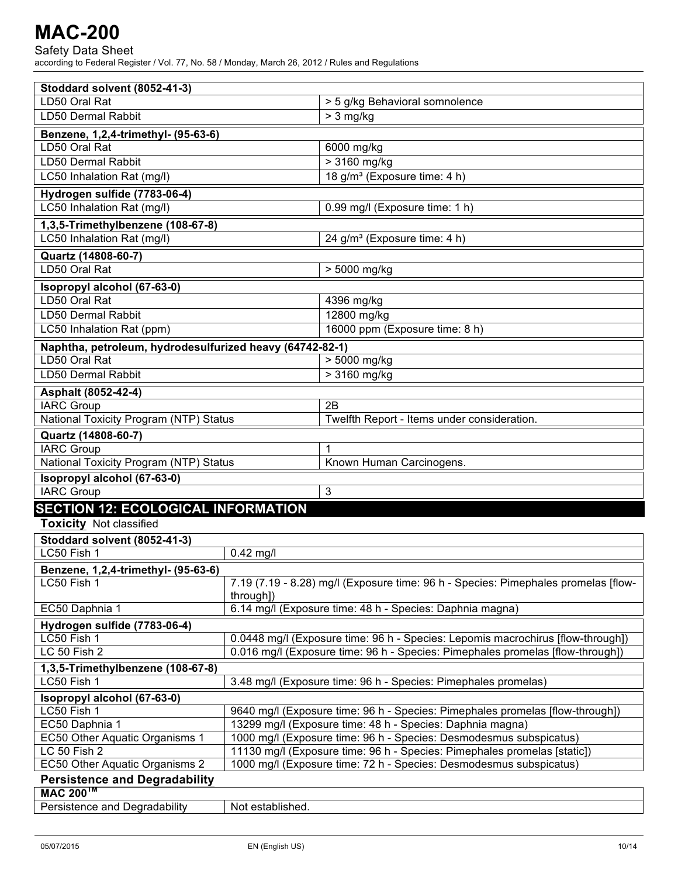| Stoddard solvent (8052-41-3)                                                  |                                                                                                 |                                                                          |  |  |
|-------------------------------------------------------------------------------|-------------------------------------------------------------------------------------------------|--------------------------------------------------------------------------|--|--|
| LD50 Oral Rat                                                                 |                                                                                                 | $>$ 5 g/kg Behavioral somnolence                                         |  |  |
| LD50 Dermal Rabbit                                                            |                                                                                                 | $> 3$ mg/kg                                                              |  |  |
| Benzene, 1,2,4-trimethyl- (95-63-6)                                           |                                                                                                 |                                                                          |  |  |
| LD50 Oral Rat                                                                 |                                                                                                 | 6000 mg/kg                                                               |  |  |
| LD50 Dermal Rabbit                                                            |                                                                                                 | > 3160 mg/kg                                                             |  |  |
| LC50 Inhalation Rat (mg/l)                                                    |                                                                                                 | 18 g/m <sup>3</sup> (Exposure time: 4 h)                                 |  |  |
| Hydrogen sulfide (7783-06-4)                                                  |                                                                                                 |                                                                          |  |  |
| LC50 Inhalation Rat (mg/l)                                                    |                                                                                                 | 0.99 mg/l (Exposure time: 1 h)                                           |  |  |
| 1,3,5-Trimethylbenzene (108-67-8)                                             |                                                                                                 |                                                                          |  |  |
| LC50 Inhalation Rat (mg/l)                                                    |                                                                                                 | 24 g/m <sup>3</sup> (Exposure time: 4 h)                                 |  |  |
| Quartz (14808-60-7)                                                           |                                                                                                 |                                                                          |  |  |
| LD50 Oral Rat                                                                 |                                                                                                 | > 5000 mg/kg                                                             |  |  |
| Isopropyl alcohol (67-63-0)                                                   |                                                                                                 |                                                                          |  |  |
| LD50 Oral Rat                                                                 |                                                                                                 | 4396 mg/kg                                                               |  |  |
| LD50 Dermal Rabbit                                                            |                                                                                                 | 12800 mg/kg                                                              |  |  |
| LC50 Inhalation Rat (ppm)                                                     |                                                                                                 | 16000 ppm (Exposure time: 8 h)                                           |  |  |
| Naphtha, petroleum, hydrodesulfurized heavy (64742-82-1)                      |                                                                                                 |                                                                          |  |  |
| LD50 Oral Rat                                                                 |                                                                                                 | > 5000 mg/kg                                                             |  |  |
| LD50 Dermal Rabbit                                                            |                                                                                                 | > 3160 mg/kg                                                             |  |  |
| Asphalt (8052-42-4)                                                           |                                                                                                 |                                                                          |  |  |
| <b>IARC Group</b>                                                             |                                                                                                 | 2B                                                                       |  |  |
| National Toxicity Program (NTP) Status                                        |                                                                                                 | Twelfth Report - Items under consideration.                              |  |  |
|                                                                               |                                                                                                 |                                                                          |  |  |
| Quartz (14808-60-7)<br><b>IARC Group</b>                                      |                                                                                                 | 1                                                                        |  |  |
|                                                                               |                                                                                                 | Known Human Carcinogens.                                                 |  |  |
| National Toxicity Program (NTP) Status                                        |                                                                                                 |                                                                          |  |  |
| Isopropyl alcohol (67-63-0)<br><b>IARC Group</b>                              |                                                                                                 |                                                                          |  |  |
|                                                                               |                                                                                                 | 3                                                                        |  |  |
| <b>SECTION 12: ECOLOGICAL INFORMATION</b>                                     |                                                                                                 |                                                                          |  |  |
| <b>Toxicity Not classified</b>                                                |                                                                                                 |                                                                          |  |  |
| Stoddard solvent (8052-41-3)                                                  |                                                                                                 |                                                                          |  |  |
| LC50 Fish 1                                                                   | $0.42$ mg/l                                                                                     |                                                                          |  |  |
| Benzene, 1,2,4-trimethyl- (95-63-6)                                           |                                                                                                 |                                                                          |  |  |
| LC50 Fish 1                                                                   | 7.19 (7.19 - 8.28) mg/l (Exposure time: 96 h - Species: Pimephales promelas [flow-<br>through]) |                                                                          |  |  |
| EC50 Daphnia 1                                                                | 6.14 mg/l (Exposure time: 48 h - Species: Daphnia magna)                                        |                                                                          |  |  |
| Hydrogen sulfide (7783-06-4)                                                  |                                                                                                 |                                                                          |  |  |
| LC50 Fish 1                                                                   | 0.0448 mg/l (Exposure time: 96 h - Species: Lepomis macrochirus [flow-through])                 |                                                                          |  |  |
| LC 50 Fish 2                                                                  | 0.016 mg/l (Exposure time: 96 h - Species: Pimephales promelas [flow-through])                  |                                                                          |  |  |
| 1,3,5-Trimethylbenzene (108-67-8)                                             |                                                                                                 |                                                                          |  |  |
| 3.48 mg/l (Exposure time: 96 h - Species: Pimephales promelas)<br>LC50 Fish 1 |                                                                                                 |                                                                          |  |  |
| Isopropyl alcohol (67-63-0)                                                   |                                                                                                 |                                                                          |  |  |
| LC50 Fish 1                                                                   | 9640 mg/l (Exposure time: 96 h - Species: Pimephales promelas [flow-through])                   |                                                                          |  |  |
| EC50 Daphnia 1                                                                |                                                                                                 | 13299 mg/l (Exposure time: 48 h - Species: Daphnia magna)                |  |  |
| EC50 Other Aquatic Organisms 1                                                |                                                                                                 | 1000 mg/l (Exposure time: 96 h - Species: Desmodesmus subspicatus)       |  |  |
| LC 50 Fish 2                                                                  |                                                                                                 | 11130 mg/l (Exposure time: 96 h - Species: Pimephales promelas [static]) |  |  |
| EC50 Other Aquatic Organisms 2                                                |                                                                                                 | 1000 mg/l (Exposure time: 72 h - Species: Desmodesmus subspicatus)       |  |  |
| <b>Persistence and Degradability</b>                                          |                                                                                                 |                                                                          |  |  |
| <b>MAC 200<sup>™</sup></b>                                                    |                                                                                                 |                                                                          |  |  |
| Persistence and Degradability                                                 | Not established.                                                                                |                                                                          |  |  |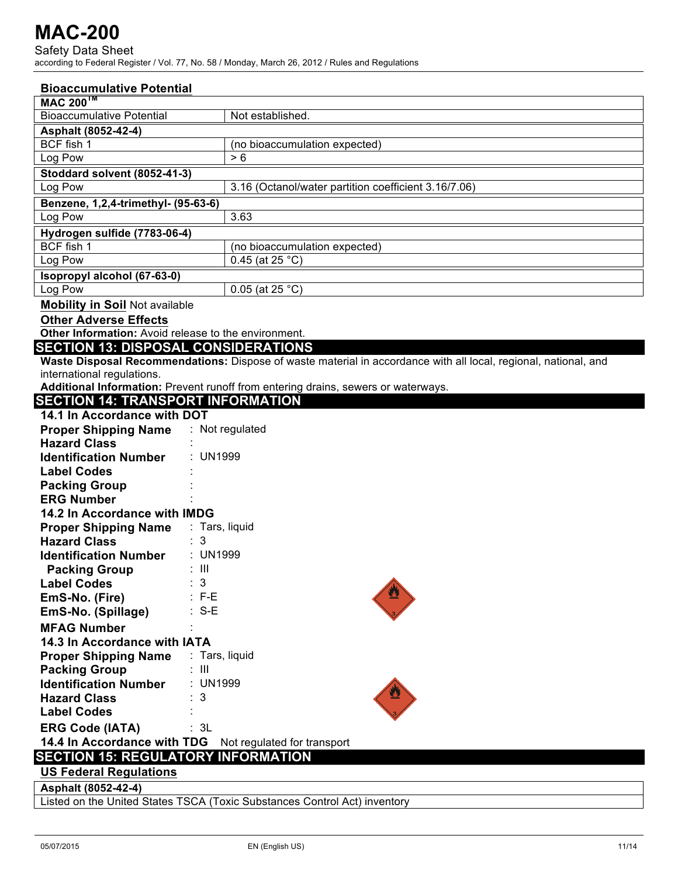| <b>Bioaccumulative Potential</b>                        |                                                                                                                 |
|---------------------------------------------------------|-----------------------------------------------------------------------------------------------------------------|
| <b>MAC 200™</b>                                         |                                                                                                                 |
| <b>Bioaccumulative Potential</b>                        | Not established.                                                                                                |
| Asphalt (8052-42-4)                                     |                                                                                                                 |
| BCF fish 1                                              | (no bioaccumulation expected)                                                                                   |
| Log Pow                                                 | > 6                                                                                                             |
| Stoddard solvent (8052-41-3)                            |                                                                                                                 |
| Log Pow                                                 | 3.16 (Octanol/water partition coefficient 3.16/7.06)                                                            |
| Benzene, 1,2,4-trimethyl- (95-63-6)                     |                                                                                                                 |
| Log Pow                                                 | 3.63                                                                                                            |
| Hydrogen sulfide (7783-06-4)                            |                                                                                                                 |
| BCF fish 1                                              | (no bioaccumulation expected)                                                                                   |
| Log Pow                                                 | 0.45 (at 25 $^{\circ}$ C)                                                                                       |
| Isopropyl alcohol (67-63-0)                             |                                                                                                                 |
| Log Pow                                                 | 0.05 (at 25 $^{\circ}$ C)                                                                                       |
| <b>Mobility in Soil Not available</b>                   |                                                                                                                 |
| <b>Other Adverse Effects</b>                            |                                                                                                                 |
| Other Information: Avoid release to the environment.    |                                                                                                                 |
| <b>SECTION 13: DISPOSAL CONSIDERATIONS</b>              |                                                                                                                 |
|                                                         | Waste Disposal Recommendations: Dispose of waste material in accordance with all local, regional, national, and |
| international regulations.                              |                                                                                                                 |
| <b>SECTION 14: TRANSPORT INFORMATION</b>                | Additional Information: Prevent runoff from entering drains, sewers or waterways.                               |
| 14.1 In Accordance with DOT                             |                                                                                                                 |
|                                                         | : Not regulated                                                                                                 |
| <b>Proper Shipping Name</b><br><b>Hazard Class</b>      |                                                                                                                 |
| <b>Identification Number</b>                            | : UN1999                                                                                                        |
| <b>Label Codes</b>                                      |                                                                                                                 |
| <b>Packing Group</b>                                    |                                                                                                                 |
| <b>ERG Number</b>                                       |                                                                                                                 |
| 14.2 In Accordance with IMDG                            |                                                                                                                 |
| <b>Proper Shipping Name</b>                             | : Tars, liquid                                                                                                  |
| <b>Hazard Class</b>                                     | : 3                                                                                                             |
| <b>Identification Number</b>                            | : UN1999                                                                                                        |
| <b>Packing Group</b>                                    | : III                                                                                                           |
| <b>Label Codes</b>                                      | $\therefore$ 3                                                                                                  |
| EmS-No. (Fire)                                          | $: F-E$                                                                                                         |
| EmS-No. (Spillage)                                      | $: S-E$                                                                                                         |
| <b>MFAG Number</b>                                      |                                                                                                                 |
| 14.3 In Accordance with IATA                            |                                                                                                                 |
| <b>Proper Shipping Name</b>                             | : Tars, liquid                                                                                                  |
| <b>Packing Group</b>                                    | : III                                                                                                           |
| <b>Identification Number</b>                            | : UN1999                                                                                                        |
| <b>Hazard Class</b>                                     | 3                                                                                                               |
| <b>Label Codes</b>                                      |                                                                                                                 |
| <b>ERG Code (IATA)</b>                                  | : 3L                                                                                                            |
| 14.4 In Accordance with TDG Not regulated for transport |                                                                                                                 |
| <b>SECTION 15: REGULATORY INFORMATION</b>               |                                                                                                                 |
| <b>US Federal Regulations</b>                           |                                                                                                                 |
| Asphalt (8052-42-4)                                     |                                                                                                                 |
|                                                         | Listed on the United States TSCA (Toxic Substances Control Act) inventory                                       |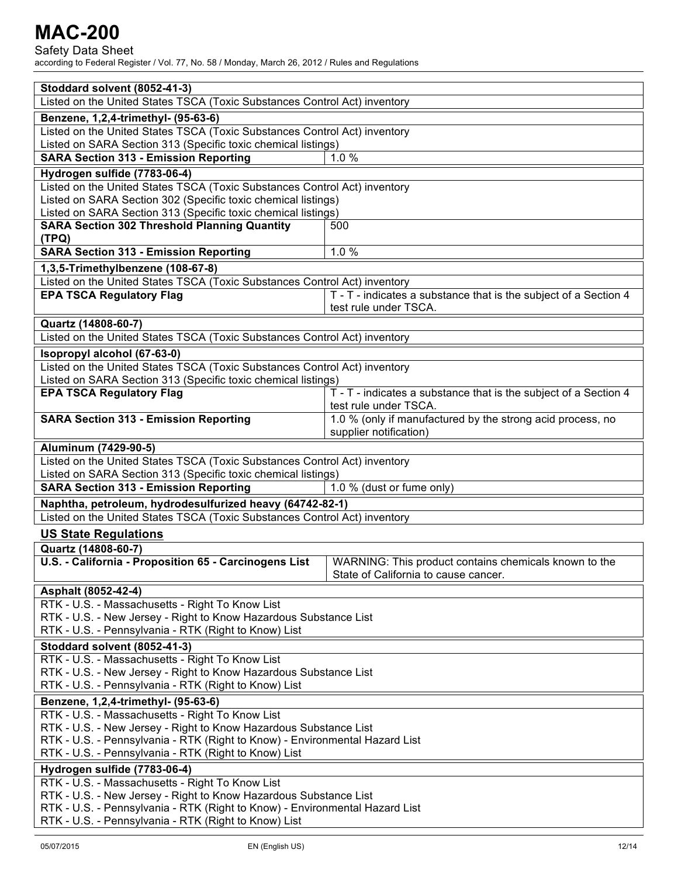Safety Data Sheet

| Stoddard solvent (8052-41-3)                                                |                                                                                               |  |
|-----------------------------------------------------------------------------|-----------------------------------------------------------------------------------------------|--|
| Listed on the United States TSCA (Toxic Substances Control Act) inventory   |                                                                                               |  |
| Benzene, 1,2,4-trimethyl- (95-63-6)                                         |                                                                                               |  |
| Listed on the United States TSCA (Toxic Substances Control Act) inventory   |                                                                                               |  |
| Listed on SARA Section 313 (Specific toxic chemical listings)               |                                                                                               |  |
| <b>SARA Section 313 - Emission Reporting</b>                                | $1.0\%$                                                                                       |  |
| Hydrogen sulfide (7783-06-4)                                                |                                                                                               |  |
| Listed on the United States TSCA (Toxic Substances Control Act) inventory   |                                                                                               |  |
| Listed on SARA Section 302 (Specific toxic chemical listings)               |                                                                                               |  |
| Listed on SARA Section 313 (Specific toxic chemical listings)               |                                                                                               |  |
| <b>SARA Section 302 Threshold Planning Quantity</b>                         | 500                                                                                           |  |
| (TPQ)                                                                       |                                                                                               |  |
| <b>SARA Section 313 - Emission Reporting</b>                                | 1.0%                                                                                          |  |
| 1,3,5-Trimethylbenzene (108-67-8)                                           |                                                                                               |  |
| Listed on the United States TSCA (Toxic Substances Control Act) inventory   |                                                                                               |  |
| <b>EPA TSCA Regulatory Flag</b>                                             | T - T - indicates a substance that is the subject of a Section 4                              |  |
|                                                                             | test rule under TSCA.                                                                         |  |
| Quartz (14808-60-7)                                                         |                                                                                               |  |
| Listed on the United States TSCA (Toxic Substances Control Act) inventory   |                                                                                               |  |
| Isopropyl alcohol (67-63-0)                                                 |                                                                                               |  |
| Listed on the United States TSCA (Toxic Substances Control Act) inventory   |                                                                                               |  |
| Listed on SARA Section 313 (Specific toxic chemical listings)               |                                                                                               |  |
| <b>EPA TSCA Regulatory Flag</b>                                             | T - T - indicates a substance that is the subject of a Section 4                              |  |
|                                                                             | test rule under TSCA.                                                                         |  |
| <b>SARA Section 313 - Emission Reporting</b>                                | 1.0 % (only if manufactured by the strong acid process, no                                    |  |
|                                                                             | supplier notification)                                                                        |  |
| Aluminum (7429-90-5)                                                        |                                                                                               |  |
| Listed on the United States TSCA (Toxic Substances Control Act) inventory   |                                                                                               |  |
| Listed on SARA Section 313 (Specific toxic chemical listings)               |                                                                                               |  |
| <b>SARA Section 313 - Emission Reporting</b>                                | 1.0 % (dust or fume only)                                                                     |  |
| Naphtha, petroleum, hydrodesulfurized heavy (64742-82-1)                    |                                                                                               |  |
| Listed on the United States TSCA (Toxic Substances Control Act) inventory   |                                                                                               |  |
| <b>US State Regulations</b>                                                 |                                                                                               |  |
|                                                                             |                                                                                               |  |
| Quartz (14808-60-7)                                                         |                                                                                               |  |
| U.S. - California - Proposition 65 - Carcinogens List                       | WARNING: This product contains chemicals known to the<br>State of California to cause cancer. |  |
|                                                                             |                                                                                               |  |
| Asphalt (8052-42-4)                                                         |                                                                                               |  |
| RTK - U.S. - Massachusetts - Right To Know List                             |                                                                                               |  |
| RTK - U.S. - New Jersey - Right to Know Hazardous Substance List            |                                                                                               |  |
| RTK - U.S. - Pennsylvania - RTK (Right to Know) List                        |                                                                                               |  |
| Stoddard solvent (8052-41-3)                                                |                                                                                               |  |
| RTK - U.S. - Massachusetts - Right To Know List                             |                                                                                               |  |
| RTK - U.S. - New Jersey - Right to Know Hazardous Substance List            |                                                                                               |  |
| RTK - U.S. - Pennsylvania - RTK (Right to Know) List                        |                                                                                               |  |
| Benzene, 1,2,4-trimethyl- (95-63-6)                                         |                                                                                               |  |
| RTK - U.S. - Massachusetts - Right To Know List                             |                                                                                               |  |
| RTK - U.S. - New Jersey - Right to Know Hazardous Substance List            |                                                                                               |  |
| RTK - U.S. - Pennsylvania - RTK (Right to Know) - Environmental Hazard List |                                                                                               |  |
| RTK - U.S. - Pennsylvania - RTK (Right to Know) List                        |                                                                                               |  |
| Hydrogen sulfide (7783-06-4)                                                |                                                                                               |  |
| RTK - U.S. - Massachusetts - Right To Know List                             |                                                                                               |  |
| RTK - U.S. - New Jersey - Right to Know Hazardous Substance List            |                                                                                               |  |
| RTK - U.S. - Pennsylvania - RTK (Right to Know) - Environmental Hazard List |                                                                                               |  |
| RTK - U.S. - Pennsylvania - RTK (Right to Know) List                        |                                                                                               |  |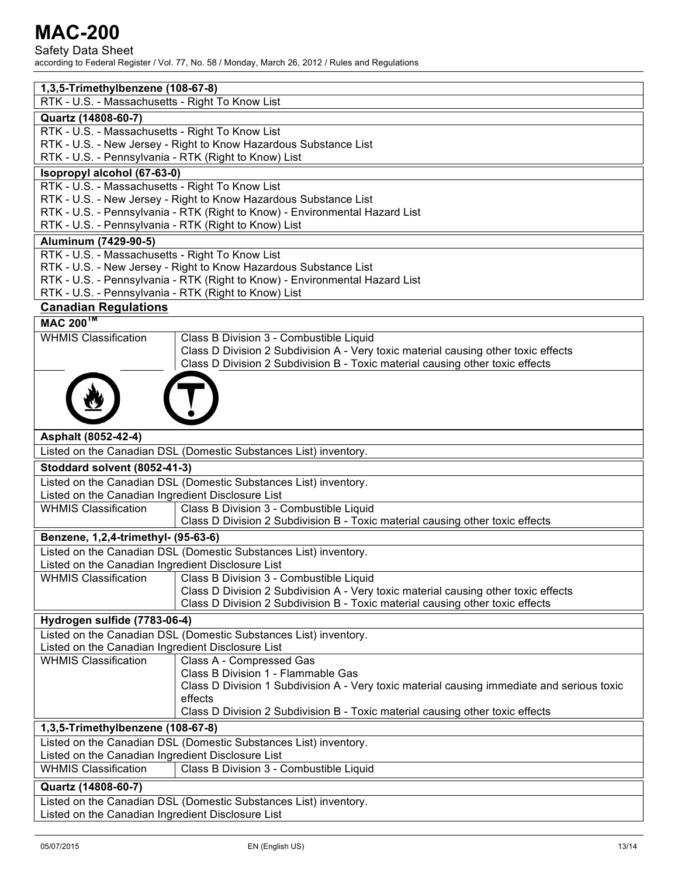Safety Data Sheet

| 1,3,5-Trimethylbenzene (108-67-8)                                                                                                   |                                                                                            |  |
|-------------------------------------------------------------------------------------------------------------------------------------|--------------------------------------------------------------------------------------------|--|
| RTK - U.S. - Massachusetts - Right To Know List                                                                                     |                                                                                            |  |
| Quartz (14808-60-7)                                                                                                                 |                                                                                            |  |
| RTK - U.S. - Massachusetts - Right To Know List                                                                                     |                                                                                            |  |
| RTK - U.S. - New Jersey - Right to Know Hazardous Substance List                                                                    |                                                                                            |  |
| RTK - U.S. - Pennsylvania - RTK (Right to Know) List                                                                                |                                                                                            |  |
| Isopropyl alcohol (67-63-0)                                                                                                         |                                                                                            |  |
| RTK - U.S. - Massachusetts - Right To Know List                                                                                     |                                                                                            |  |
|                                                                                                                                     | RTK - U.S. - New Jersey - Right to Know Hazardous Substance List                           |  |
| RTK - U.S. - Pennsylvania - RTK (Right to Know) - Environmental Hazard List                                                         |                                                                                            |  |
| RTK - U.S. - Pennsylvania - RTK (Right to Know) List                                                                                |                                                                                            |  |
| Aluminum (7429-90-5)                                                                                                                |                                                                                            |  |
| RTK - U.S. - Massachusetts - Right To Know List                                                                                     |                                                                                            |  |
| RTK - U.S. - New Jersey - Right to Know Hazardous Substance List                                                                    |                                                                                            |  |
| RTK - U.S. - Pennsylvania - RTK (Right to Know) - Environmental Hazard List<br>RTK - U.S. - Pennsylvania - RTK (Right to Know) List |                                                                                            |  |
|                                                                                                                                     |                                                                                            |  |
| <b>Canadian Regulations</b>                                                                                                         |                                                                                            |  |
| <b>MAC 200<sup>™</sup></b>                                                                                                          |                                                                                            |  |
| <b>WHMIS Classification</b>                                                                                                         | Class B Division 3 - Combustible Liquid                                                    |  |
|                                                                                                                                     | Class D Division 2 Subdivision A - Very toxic material causing other toxic effects         |  |
|                                                                                                                                     | Class D Division 2 Subdivision B - Toxic material causing other toxic effects              |  |
|                                                                                                                                     |                                                                                            |  |
|                                                                                                                                     |                                                                                            |  |
|                                                                                                                                     |                                                                                            |  |
|                                                                                                                                     |                                                                                            |  |
| Asphalt (8052-42-4)                                                                                                                 |                                                                                            |  |
|                                                                                                                                     | Listed on the Canadian DSL (Domestic Substances List) inventory.                           |  |
| Stoddard solvent (8052-41-3)                                                                                                        |                                                                                            |  |
|                                                                                                                                     | Listed on the Canadian DSL (Domestic Substances List) inventory.                           |  |
| Listed on the Canadian Ingredient Disclosure List                                                                                   |                                                                                            |  |
| <b>WHMIS Classification</b>                                                                                                         | Class B Division 3 - Combustible Liquid                                                    |  |
|                                                                                                                                     | Class D Division 2 Subdivision B - Toxic material causing other toxic effects              |  |
| Benzene, 1,2,4-trimethyl- (95-63-6)                                                                                                 |                                                                                            |  |
| Listed on the Canadian DSL (Domestic Substances List) inventory.                                                                    |                                                                                            |  |
| Listed on the Canadian Ingredient Disclosure List                                                                                   |                                                                                            |  |
|                                                                                                                                     | WHMIS Classification   Class B Division 3 - Combustible Liquid                             |  |
|                                                                                                                                     | Class D Division 2 Subdivision A - Very toxic material causing other toxic effects         |  |
|                                                                                                                                     | Class D Division 2 Subdivision B - Toxic material causing other toxic effects              |  |
| Hydrogen sulfide (7783-06-4)                                                                                                        |                                                                                            |  |
|                                                                                                                                     | Listed on the Canadian DSL (Domestic Substances List) inventory.                           |  |
| Listed on the Canadian Ingredient Disclosure List<br><b>WHMIS Classification</b>                                                    |                                                                                            |  |
|                                                                                                                                     | Class A - Compressed Gas<br>Class B Division 1 - Flammable Gas                             |  |
|                                                                                                                                     | Class D Division 1 Subdivision A - Very toxic material causing immediate and serious toxic |  |
|                                                                                                                                     | effects                                                                                    |  |
|                                                                                                                                     | Class D Division 2 Subdivision B - Toxic material causing other toxic effects              |  |
| 1,3,5-Trimethylbenzene (108-67-8)                                                                                                   |                                                                                            |  |
| Listed on the Canadian DSL (Domestic Substances List) inventory.                                                                    |                                                                                            |  |
| Listed on the Canadian Ingredient Disclosure List                                                                                   |                                                                                            |  |
| <b>WHMIS Classification</b>                                                                                                         | Class B Division 3 - Combustible Liquid                                                    |  |
| Quartz (14808-60-7)                                                                                                                 |                                                                                            |  |
| Listed on the Canadian DSL (Domestic Substances List) inventory.                                                                    |                                                                                            |  |
| Listed on the Canadian Ingredient Disclosure List                                                                                   |                                                                                            |  |
|                                                                                                                                     |                                                                                            |  |